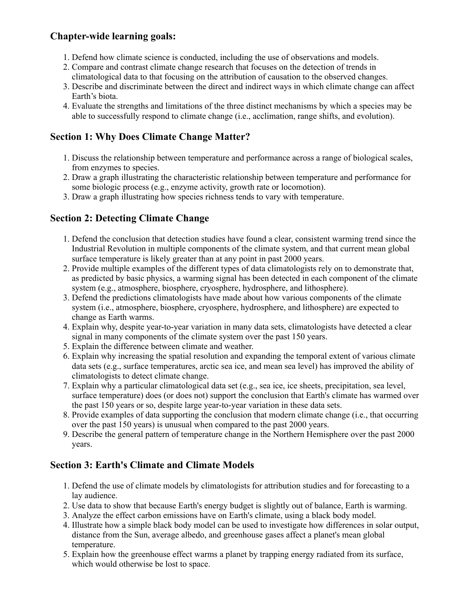## **Chapter-wide learning goals:**

- 1. Defend how climate science is conducted, including the use of observations and models.
- 2. Compare and contrast climate change research that focuses on the detection of trends in climatological data to that focusing on the attribution of causation to the observed changes.
- 3. Describe and discriminate between the direct and indirect ways in which climate change can affect Earth's biota.
- 4. Evaluate the strengths and limitations of the three distinct mechanisms by which a species may be able to successfully respond to climate change (i.e., acclimation, range shifts, and evolution).

# **Section 1: Why Does Climate Change Matter?**

- 1. Discuss the relationship between temperature and performance across a range of biological scales, from enzymes to species.
- 2. Draw a graph illustrating the characteristic relationship between temperature and performance for some biologic process (e.g., enzyme activity, growth rate or locomotion).
- 3. Draw a graph illustrating how species richness tends to vary with temperature.

## **Section 2: Detecting Climate Change**

- 1. Defend the conclusion that detection studies have found a clear, consistent warming trend since the Industrial Revolution in multiple components of the climate system, and that current mean global surface temperature is likely greater than at any point in past 2000 years.
- 2. Provide multiple examples of the different types of data climatologists rely on to demonstrate that, as predicted by basic physics, a warming signal has been detected in each component of the climate system (e.g., atmosphere, biosphere, cryosphere, hydrosphere, and lithosphere).
- 3. Defend the predictions climatologists have made about how various components of the climate system (i.e., atmosphere, biosphere, cryosphere, hydrosphere, and lithosphere) are expected to change as Earth warms.
- 4. Explain why, despite year-to-year variation in many data sets, climatologists have detected a clear signal in many components of the climate system over the past 150 years.
- 5. Explain the difference between climate and weather.
- 6. Explain why increasing the spatial resolution and expanding the temporal extent of various climate data sets (e.g., surface temperatures, arctic sea ice, and mean sea level) has improved the ability of climatologists to detect climate change.
- 7. Explain why a particular climatological data set (e.g., sea ice, ice sheets, precipitation, sea level, surface temperature) does (or does not) support the conclusion that Earth's climate has warmed over the past 150 years or so, despite large year-to-year variation in these data sets.
- 8. Provide examples of data supporting the conclusion that modern climate change (i.e., that occurring over the past 150 years) is unusual when compared to the past 2000 years.
- 9. Describe the general pattern of temperature change in the Northern Hemisphere over the past 2000 years.

## **Section 3: Earth's Climate and Climate Models**

- 1. Defend the use of climate models by climatologists for attribution studies and for forecasting to a lay audience.
- 2. Use data to show that because Earth's energy budget is slightly out of balance, Earth is warming.
- 3. Analyze the effect carbon emissions have on Earth's climate, using a black body model.
- 4. Illustrate how a simple black body model can be used to investigate how differences in solar output, distance from the Sun, average albedo, and greenhouse gases affect a planet's mean global temperature.
- 5. Explain how the greenhouse effect warms a planet by trapping energy radiated from its surface, which would otherwise be lost to space.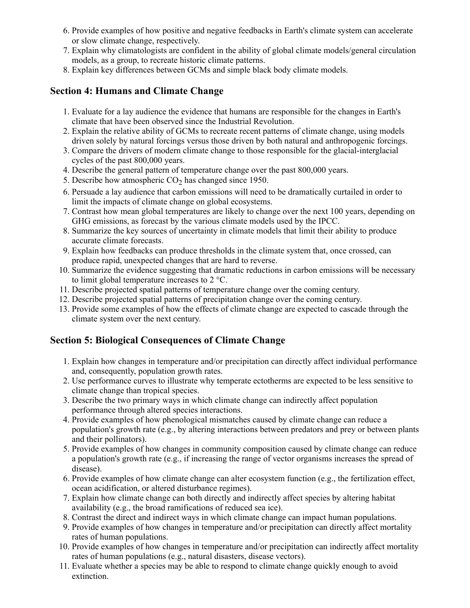- 6. Provide examples of how positive and negative feedbacks in Earth's climate system can accelerate or slow climate change, respectively.
- 7. Explain why climatologists are confident in the ability of global climate models/general circulation models, as a group, to recreate historic climate patterns.
- 8. Explain key differences between GCMs and simple black body climate models.

#### **Section 4: Humans and Climate Change**

- 1. Evaluate for a lay audience the evidence that humans are responsible for the changes in Earth's climate that have been observed since the Industrial Revolution.
- 2. Explain the relative ability of GCMs to recreate recent patterns of climate change, using models driven solely by natural forcings versus those driven by both natural and anthropogenic forcings.
- 3. Compare the drivers of modern climate change to those responsible for the glacial-interglacial cycles of the past 800,000 years.
- 4. Describe the general pattern of temperature change over the past 800,000 years.
- 5. Describe how atmospheric  $CO<sub>2</sub>$  has changed since 1950.
- 6. Persuade a lay audience that carbon emissions will need to be dramatically curtailed in order to limit the impacts of climate change on global ecosystems.
- 7. Contrast how mean global temperatures are likely to change over the next 100 years, depending on GHG emissions, as forecast by the various climate models used by the IPCC.
- 8. Summarize the key sources of uncertainty in climate models that limit their ability to produce accurate climate forecasts.
- 9. Explain how feedbacks can produce thresholds in the climate system that, once crossed, can produce rapid, unexpected changes that are hard to reverse.
- 10. Summarize the evidence suggesting that dramatic reductions in carbon emissions will be necessary to limit global temperature increases to 2 °C.
- 11. Describe projected spatial patterns of temperature change over the coming century.
- 12. Describe projected spatial patterns of precipitation change over the coming century.
- 13. Provide some examples of how the effects of climate change are expected to cascade through the climate system over the next century.

## **Section 5: Biological Consequences of Climate Change**

- 1. Explain how changes in temperature and/or precipitation can directly affect individual performance and, consequently, population growth rates.
- 2. Use performance curves to illustrate why temperate ectotherms are expected to be less sensitive to climate change than tropical species.
- 3. Describe the two primary ways in which climate change can indirectly affect population performance through altered species interactions.
- 4. Provide examples of how phenological mismatches caused by climate change can reduce a population's growth rate (e.g., by altering interactions between predators and prey or between plants and their pollinators).
- 5. Provide examples of how changes in community composition caused by climate change can reduce a population's growth rate (e.g., if increasing the range of vector organisms increases the spread of disease).
- 6. Provide examples of how climate change can alter ecosystem function (e.g., the fertilization effect, ocean acidification, or altered disturbance regimes).
- 7. Explain how climate change can both directly and indirectly affect species by altering habitat availability (e.g., the broad ramifications of reduced sea ice).
- 8. Contrast the direct and indirect ways in which climate change can impact human populations.
- 9. Provide examples of how changes in temperature and/or precipitation can directly affect mortality rates of human populations.
- 10. Provide examples of how changes in temperature and/or precipitation can indirectly affect mortality rates of human populations (e.g., natural disasters, disease vectors).
- 11. Evaluate whether a species may be able to respond to climate change quickly enough to avoid extinction.